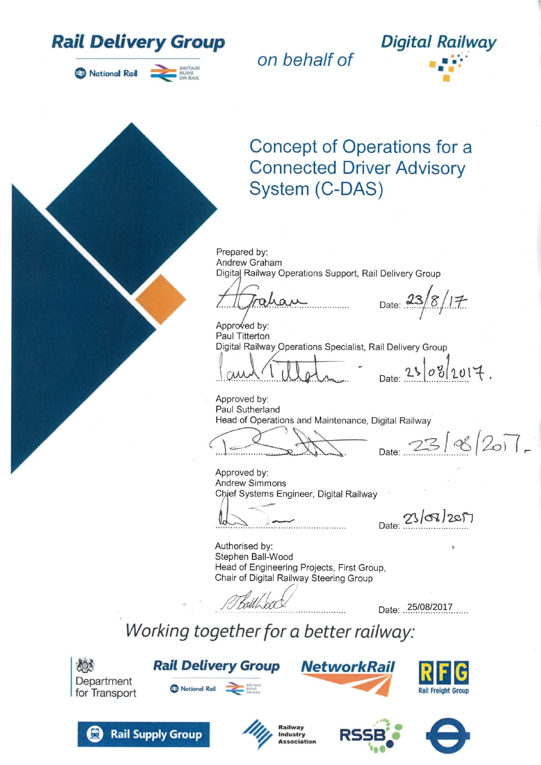

National Rail

*on behalf of*



# Concept of Operations for a Connected Driver Advisory System (C-DAS)

Prepared by: Andrew Graham Digital Railway Operations Support, Rail Delivery Group

Date:  $23/8/17$ 

Approved by: Paul Titterton Digital Railway Operations Specialist, Rail Delivery Group

 $0812017$ .

 $2388/207$ .

Approved by: Paul Sutherland Head of Operations and Maintenance, Digital Railway

Approved by: Andrew Simmons Chief Systems Engineer, Digital Railway

Date: 23/08/2017

Authorised by: Stephen Ball-Wood Head of Engineering Projects, First Group, Chair of Digital Railway Steering Group

 $11.5000 \times 10000 \times 10000 \times 10000 \times 10000 \times 10000 \times 10000 \times 10000 \times 10000 \times 10000 \times 10000 \times 10000 \times 10000 \times 10000 \times 10000 \times 10000 \times 10000 \times 10000 \times 10000 \times 10000 \times 10000 \times 10000 \times 10000 \times 10000 \times 10000 \times 10000 \times 10000 \times 10$ 

Working together for a better railway:



**Rail Delivery Group** National Rail **DES BREADS** 











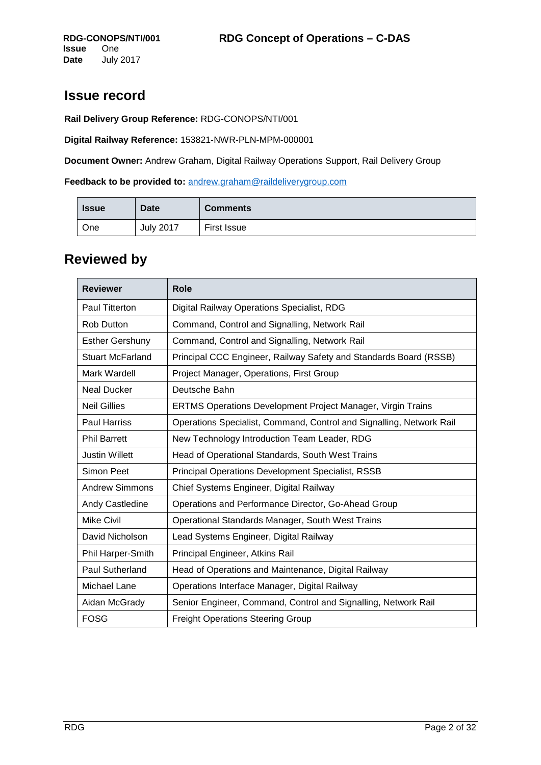## **Issue record**

**Rail Delivery Group Reference:** RDG-CONOPS/NTI/001

**Digital Railway Reference:** 153821-NWR-PLN-MPM-000001

**Document Owner:** Andrew Graham, Digital Railway Operations Support, Rail Delivery Group

**Feedback to be provided to:** [andrew.graham@raildeliverygroup.com](mailto:andrew.graham@raildeliverygroup.com)

| <b>Issue</b> | <b>Date</b>      | <b>Comments</b> |
|--------------|------------------|-----------------|
| One          | <b>July 2017</b> | First Issue     |

## **Reviewed by**

| <b>Reviewer</b>         | <b>Role</b>                                                          |
|-------------------------|----------------------------------------------------------------------|
| <b>Paul Titterton</b>   | Digital Railway Operations Specialist, RDG                           |
| <b>Rob Dutton</b>       | Command, Control and Signalling, Network Rail                        |
| <b>Esther Gershuny</b>  | Command, Control and Signalling, Network Rail                        |
| <b>Stuart McFarland</b> | Principal CCC Engineer, Railway Safety and Standards Board (RSSB)    |
| Mark Wardell            | Project Manager, Operations, First Group                             |
| <b>Neal Ducker</b>      | Deutsche Bahn                                                        |
| <b>Neil Gillies</b>     | <b>ERTMS Operations Development Project Manager, Virgin Trains</b>   |
| <b>Paul Harriss</b>     | Operations Specialist, Command, Control and Signalling, Network Rail |
| <b>Phil Barrett</b>     | New Technology Introduction Team Leader, RDG                         |
| <b>Justin Willett</b>   | Head of Operational Standards, South West Trains                     |
| Simon Peet              | <b>Principal Operations Development Specialist, RSSB</b>             |
| <b>Andrew Simmons</b>   | Chief Systems Engineer, Digital Railway                              |
| Andy Castledine         | Operations and Performance Director, Go-Ahead Group                  |
| <b>Mike Civil</b>       | Operational Standards Manager, South West Trains                     |
| David Nicholson         | Lead Systems Engineer, Digital Railway                               |
| Phil Harper-Smith       | Principal Engineer, Atkins Rail                                      |
| <b>Paul Sutherland</b>  | Head of Operations and Maintenance, Digital Railway                  |
| Michael Lane            | Operations Interface Manager, Digital Railway                        |
| Aidan McGrady           | Senior Engineer, Command, Control and Signalling, Network Rail       |
| <b>FOSG</b>             | <b>Freight Operations Steering Group</b>                             |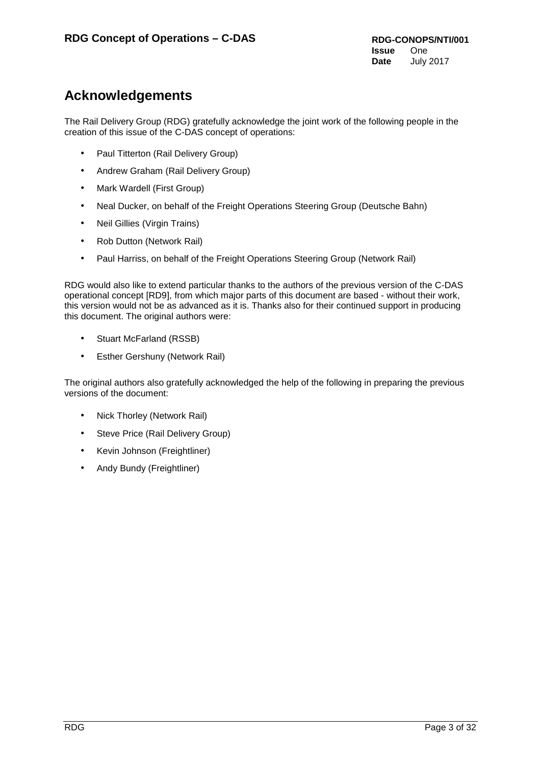## **Acknowledgements**

The Rail Delivery Group (RDG) gratefully acknowledge the joint work of the following people in the creation of this issue of the C-DAS concept of operations:

- Paul Titterton (Rail Delivery Group)
- Andrew Graham (Rail Delivery Group)
- Mark Wardell (First Group)
- Neal Ducker, on behalf of the Freight Operations Steering Group (Deutsche Bahn)
- Neil Gillies (Virgin Trains)
- Rob Dutton (Network Rail)
- Paul Harriss, on behalf of the Freight Operations Steering Group (Network Rail)

RDG would also like to extend particular thanks to the authors of the previous version of the C-DAS operational concept [RD9], from which major parts of this document are based - without their work, this version would not be as advanced as it is. Thanks also for their continued support in producing this document. The original authors were:

- Stuart McFarland (RSSB)
- Esther Gershuny (Network Rail)

The original authors also gratefully acknowledged the help of the following in preparing the previous versions of the document:

- Nick Thorley (Network Rail)
- Steve Price (Rail Delivery Group)
- Kevin Johnson (Freightliner)
- Andy Bundy (Freightliner)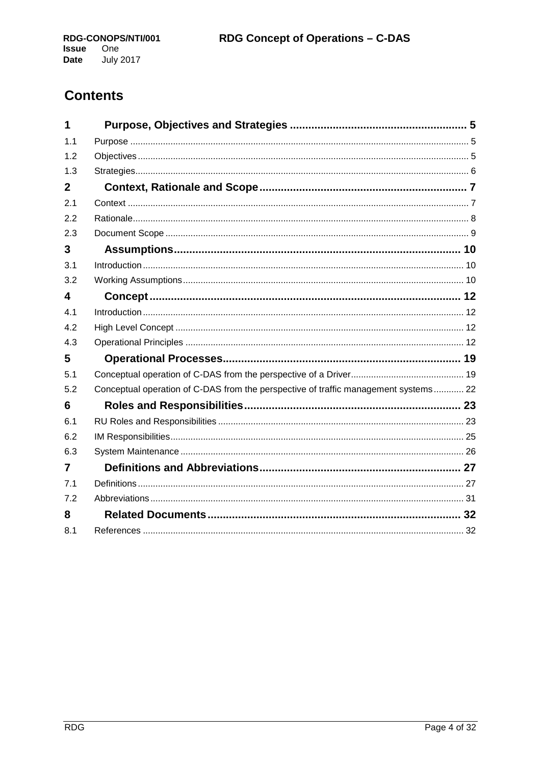## **Contents**

| 1            |                                                                                     |  |
|--------------|-------------------------------------------------------------------------------------|--|
| 1.1          |                                                                                     |  |
| 1.2          |                                                                                     |  |
| 1.3          |                                                                                     |  |
| $\mathbf{2}$ |                                                                                     |  |
| 2.1          |                                                                                     |  |
| 2.2          |                                                                                     |  |
| 2.3          |                                                                                     |  |
| 3            |                                                                                     |  |
| 3.1          |                                                                                     |  |
| 3.2          |                                                                                     |  |
| 4            |                                                                                     |  |
| 4.1          |                                                                                     |  |
| 4.2          |                                                                                     |  |
| 4.3          |                                                                                     |  |
| 5            |                                                                                     |  |
| 5.1          |                                                                                     |  |
| 5.2          | Conceptual operation of C-DAS from the perspective of traffic management systems 22 |  |
| 6            |                                                                                     |  |
| 6.1          |                                                                                     |  |
| 6.2          |                                                                                     |  |
| 6.3          |                                                                                     |  |
| 7            |                                                                                     |  |
| 7.1          |                                                                                     |  |
| 7.2          |                                                                                     |  |
| 8            |                                                                                     |  |
| 8.1          |                                                                                     |  |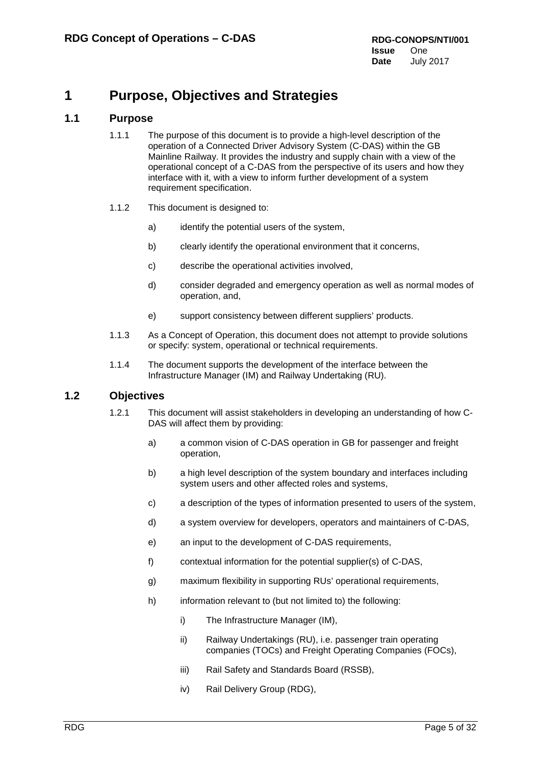## <span id="page-4-0"></span>**1 Purpose, Objectives and Strategies**

## <span id="page-4-1"></span>**1.1 Purpose**

- 1.1.1 The purpose of this document is to provide a high-level description of the operation of a Connected Driver Advisory System (C-DAS) within the GB Mainline Railway. It provides the industry and supply chain with a view of the operational concept of a C-DAS from the perspective of its users and how they interface with it, with a view to inform further development of a system requirement specification.
- 1.1.2 This document is designed to:
	- a) identify the potential users of the system,
	- b) clearly identify the operational environment that it concerns,
	- c) describe the operational activities involved,
	- d) consider degraded and emergency operation as well as normal modes of operation, and,
	- e) support consistency between different suppliers' products.
- 1.1.3 As a Concept of Operation, this document does not attempt to provide solutions or specify: system, operational or technical requirements.
- 1.1.4 The document supports the development of the interface between the Infrastructure Manager (IM) and Railway Undertaking (RU).

## <span id="page-4-2"></span>**1.2 Objectives**

- 1.2.1 This document will assist stakeholders in developing an understanding of how C-DAS will affect them by providing:
	- a) a common vision of C-DAS operation in GB for passenger and freight operation,
	- b) a high level description of the system boundary and interfaces including system users and other affected roles and systems,
	- c) a description of the types of information presented to users of the system,
	- d) a system overview for developers, operators and maintainers of C-DAS,
	- e) an input to the development of C-DAS requirements,
	- f) contextual information for the potential supplier(s) of C-DAS,
	- g) maximum flexibility in supporting RUs' operational requirements,
	- h) information relevant to (but not limited to) the following:
		- i) The Infrastructure Manager (IM),
		- ii) Railway Undertakings (RU), i.e. passenger train operating companies (TOCs) and Freight Operating Companies (FOCs),
		- iii) Rail Safety and Standards Board (RSSB),
		- iv) Rail Delivery Group (RDG),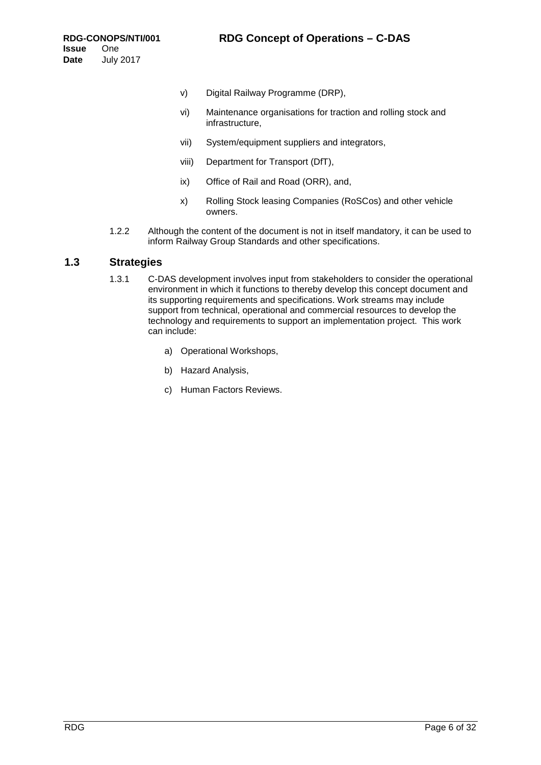- v) Digital Railway Programme (DRP),
- vi) Maintenance organisations for traction and rolling stock and infrastructure,
- vii) System/equipment suppliers and integrators,
- viii) Department for Transport (DfT),
- ix) Office of Rail and Road (ORR), and,
- x) Rolling Stock leasing Companies (RoSCos) and other vehicle owners.
- 1.2.2 Although the content of the document is not in itself mandatory, it can be used to inform Railway Group Standards and other specifications.

## <span id="page-5-0"></span>**1.3 Strategies**

- 1.3.1 C-DAS development involves input from stakeholders to consider the operational environment in which it functions to thereby develop this concept document and its supporting requirements and specifications. Work streams may include support from technical, operational and commercial resources to develop the technology and requirements to support an implementation project. This work can include:
	- a) Operational Workshops,
	- b) Hazard Analysis,
	- c) Human Factors Reviews.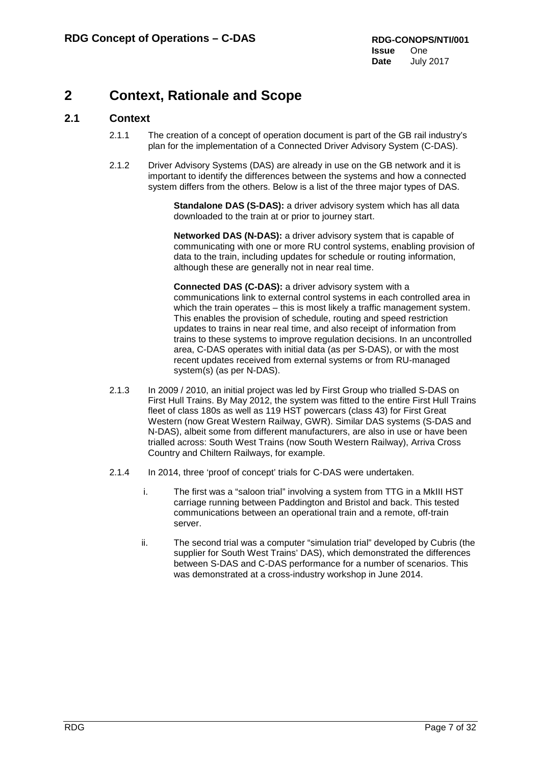## <span id="page-6-0"></span>**2 Context, Rationale and Scope**

## <span id="page-6-1"></span>**2.1 Context**

- 2.1.1 The creation of a concept of operation document is part of the GB rail industry's plan for the implementation of a Connected Driver Advisory System (C-DAS).
- 2.1.2 Driver Advisory Systems (DAS) are already in use on the GB network and it is important to identify the differences between the systems and how a connected system differs from the others. Below is a list of the three major types of DAS.

**Standalone DAS (S-DAS):** a driver advisory system which has all data downloaded to the train at or prior to journey start.

**Networked DAS (N-DAS):** a driver advisory system that is capable of communicating with one or more RU control systems, enabling provision of data to the train, including updates for schedule or routing information, although these are generally not in near real time.

**Connected DAS (C-DAS):** a driver advisory system with a communications link to external control systems in each controlled area in which the train operates – this is most likely a traffic management system. This enables the provision of schedule, routing and speed restriction updates to trains in near real time, and also receipt of information from trains to these systems to improve regulation decisions. In an uncontrolled area, C-DAS operates with initial data (as per S-DAS), or with the most recent updates received from external systems or from RU-managed system(s) (as per N-DAS).

- 2.1.3 In 2009 / 2010, an initial project was led by First Group who trialled S-DAS on First Hull Trains. By May 2012, the system was fitted to the entire First Hull Trains fleet of class 180s as well as 119 HST powercars (class 43) for First Great Western (now Great Western Railway, GWR). Similar DAS systems (S-DAS and N-DAS), albeit some from different manufacturers, are also in use or have been trialled across: South West Trains (now South Western Railway), Arriva Cross Country and Chiltern Railways, for example.
- 2.1.4 In 2014, three 'proof of concept' trials for C-DAS were undertaken.
	- i. The first was a "saloon trial" involving a system from TTG in a MkIII HST carriage running between Paddington and Bristol and back. This tested communications between an operational train and a remote, off-train server.
	- ii. The second trial was a computer "simulation trial" developed by Cubris (the supplier for South West Trains' DAS), which demonstrated the differences between S-DAS and C-DAS performance for a number of scenarios. This was demonstrated at a cross-industry workshop in June 2014.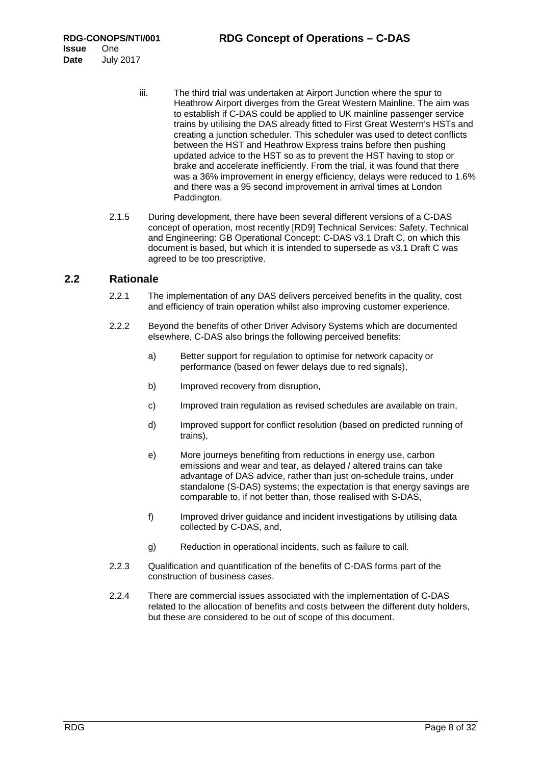- iii. The third trial was undertaken at Airport Junction where the spur to Heathrow Airport diverges from the Great Western Mainline. The aim was to establish if C-DAS could be applied to UK mainline passenger service trains by utilising the DAS already fitted to First Great Western's HSTs and creating a junction scheduler. This scheduler was used to detect conflicts between the HST and Heathrow Express trains before then pushing updated advice to the HST so as to prevent the HST having to stop or brake and accelerate inefficiently. From the trial, it was found that there was a 36% improvement in energy efficiency, delays were reduced to 1.6% and there was a 95 second improvement in arrival times at London Paddington.
- 2.1.5 During development, there have been several different versions of a C-DAS concept of operation, most recently [RD9] Technical Services: Safety, Technical and Engineering: GB Operational Concept: C-DAS v3.1 Draft C, on which this document is based, but which it is intended to supersede as v3.1 Draft C was agreed to be too prescriptive.

## <span id="page-7-0"></span>**2.2 Rationale**

- 2.2.1 The implementation of any DAS delivers perceived benefits in the quality, cost and efficiency of train operation whilst also improving customer experience.
- 2.2.2 Beyond the benefits of other Driver Advisory Systems which are documented elsewhere, C-DAS also brings the following perceived benefits:
	- a) Better support for regulation to optimise for network capacity or performance (based on fewer delays due to red signals),
	- b) Improved recovery from disruption,
	- c) Improved train regulation as revised schedules are available on train,
	- d) Improved support for conflict resolution (based on predicted running of trains),
	- e) More journeys benefiting from reductions in energy use, carbon emissions and wear and tear, as delayed / altered trains can take advantage of DAS advice, rather than just on-schedule trains, under standalone (S-DAS) systems; the expectation is that energy savings are comparable to, if not better than, those realised with S-DAS,
	- f) Improved driver guidance and incident investigations by utilising data collected by C-DAS, and,
	- g) Reduction in operational incidents, such as failure to call.
- 2.2.3 Qualification and quantification of the benefits of C-DAS forms part of the construction of business cases.
- 2.2.4 There are commercial issues associated with the implementation of C-DAS related to the allocation of benefits and costs between the different duty holders, but these are considered to be out of scope of this document.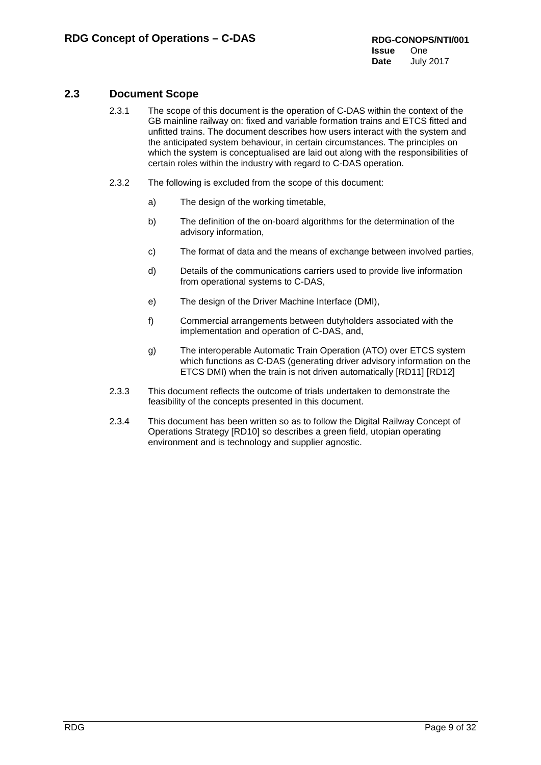## <span id="page-8-0"></span>**2.3 Document Scope**

- 2.3.1 The scope of this document is the operation of C-DAS within the context of the GB mainline railway on: fixed and variable formation trains and ETCS fitted and unfitted trains. The document describes how users interact with the system and the anticipated system behaviour, in certain circumstances. The principles on which the system is conceptualised are laid out along with the responsibilities of certain roles within the industry with regard to C-DAS operation.
- 2.3.2 The following is excluded from the scope of this document:
	- a) The design of the working timetable,
	- b) The definition of the on-board algorithms for the determination of the advisory information,
	- c) The format of data and the means of exchange between involved parties,
	- d) Details of the communications carriers used to provide live information from operational systems to C-DAS,
	- e) The design of the Driver Machine Interface (DMI),
	- f) Commercial arrangements between dutyholders associated with the implementation and operation of C-DAS, and,
	- g) The interoperable Automatic Train Operation (ATO) over ETCS system which functions as C-DAS (generating driver advisory information on the ETCS DMI) when the train is not driven automatically [RD11] [RD12]
- 2.3.3 This document reflects the outcome of trials undertaken to demonstrate the feasibility of the concepts presented in this document.
- 2.3.4 This document has been written so as to follow the Digital Railway Concept of Operations Strategy [RD10] so describes a green field, utopian operating environment and is technology and supplier agnostic.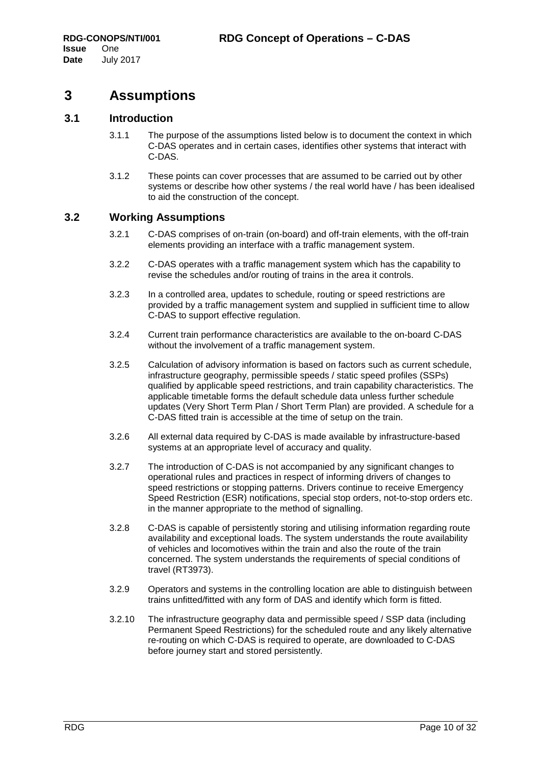## <span id="page-9-0"></span>**3 Assumptions**

## <span id="page-9-1"></span>**3.1 Introduction**

- 3.1.1 The purpose of the assumptions listed below is to document the context in which C-DAS operates and in certain cases, identifies other systems that interact with C-DAS.
- 3.1.2 These points can cover processes that are assumed to be carried out by other systems or describe how other systems / the real world have / has been idealised to aid the construction of the concept.

## <span id="page-9-2"></span>**3.2 Working Assumptions**

- 3.2.1 C-DAS comprises of on-train (on-board) and off-train elements, with the off-train elements providing an interface with a traffic management system.
- 3.2.2 C-DAS operates with a traffic management system which has the capability to revise the schedules and/or routing of trains in the area it controls.
- 3.2.3 In a controlled area, updates to schedule, routing or speed restrictions are provided by a traffic management system and supplied in sufficient time to allow C-DAS to support effective regulation.
- 3.2.4 Current train performance characteristics are available to the on-board C-DAS without the involvement of a traffic management system.
- 3.2.5 Calculation of advisory information is based on factors such as current schedule, infrastructure geography, permissible speeds / static speed profiles (SSPs) qualified by applicable speed restrictions, and train capability characteristics. The applicable timetable forms the default schedule data unless further schedule updates (Very Short Term Plan / Short Term Plan) are provided. A schedule for a C-DAS fitted train is accessible at the time of setup on the train.
- 3.2.6 All external data required by C-DAS is made available by infrastructure-based systems at an appropriate level of accuracy and quality.
- 3.2.7 The introduction of C-DAS is not accompanied by any significant changes to operational rules and practices in respect of informing drivers of changes to speed restrictions or stopping patterns. Drivers continue to receive Emergency Speed Restriction (ESR) notifications, special stop orders, not-to-stop orders etc. in the manner appropriate to the method of signalling.
- 3.2.8 C-DAS is capable of persistently storing and utilising information regarding route availability and exceptional loads. The system understands the route availability of vehicles and locomotives within the train and also the route of the train concerned. The system understands the requirements of special conditions of travel (RT3973).
- 3.2.9 Operators and systems in the controlling location are able to distinguish between trains unfitted/fitted with any form of DAS and identify which form is fitted.
- 3.2.10 The infrastructure geography data and permissible speed / SSP data (including Permanent Speed Restrictions) for the scheduled route and any likely alternative re-routing on which C-DAS is required to operate, are downloaded to C-DAS before journey start and stored persistently.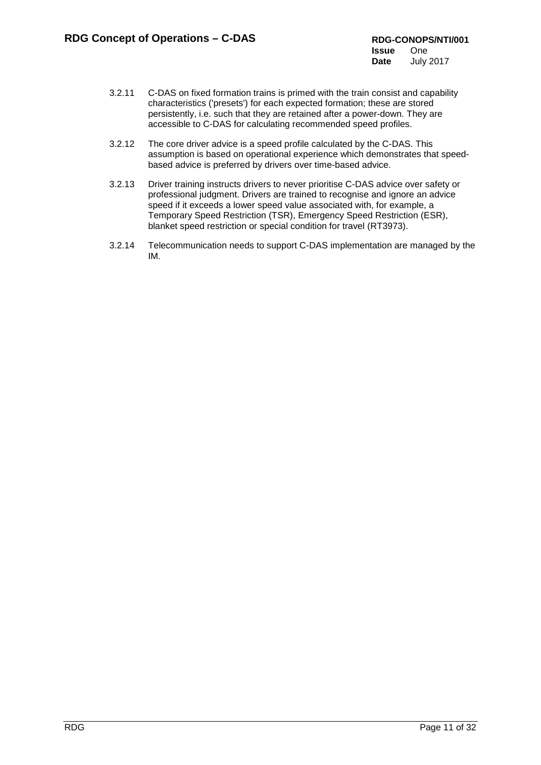- 3.2.11 C-DAS on fixed formation trains is primed with the train consist and capability characteristics ('presets') for each expected formation; these are stored persistently, i.e. such that they are retained after a power-down. They are accessible to C-DAS for calculating recommended speed profiles.
- 3.2.12 The core driver advice is a speed profile calculated by the C-DAS. This assumption is based on operational experience which demonstrates that speedbased advice is preferred by drivers over time-based advice.
- 3.2.13 Driver training instructs drivers to never prioritise C-DAS advice over safety or professional judgment. Drivers are trained to recognise and ignore an advice speed if it exceeds a lower speed value associated with, for example, a Temporary Speed Restriction (TSR), Emergency Speed Restriction (ESR), blanket speed restriction or special condition for travel (RT3973).
- 3.2.14 Telecommunication needs to support C-DAS implementation are managed by the IM.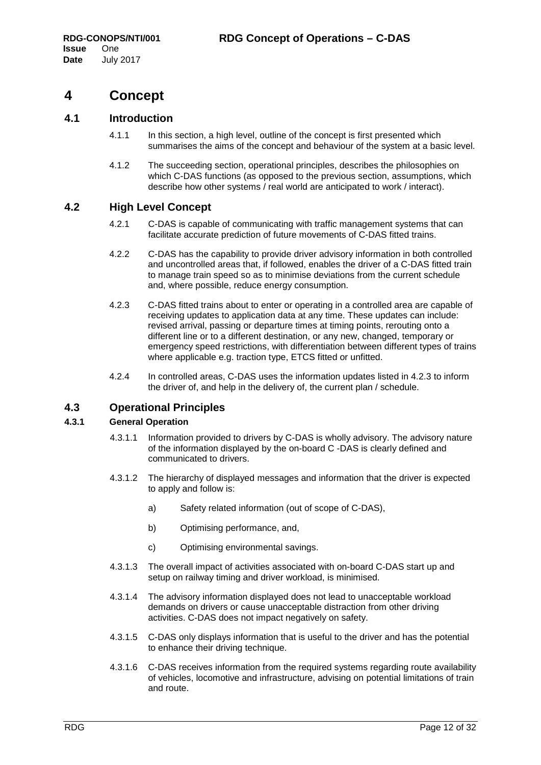## <span id="page-11-0"></span>**4 Concept**

## <span id="page-11-1"></span>**4.1 Introduction**

- 4.1.1 In this section, a high level, outline of the concept is first presented which summarises the aims of the concept and behaviour of the system at a basic level.
- 4.1.2 The succeeding section, operational principles, describes the philosophies on which C-DAS functions (as opposed to the previous section, assumptions, which describe how other systems / real world are anticipated to work / interact).

## <span id="page-11-2"></span>**4.2 High Level Concept**

- 4.2.1 C-DAS is capable of communicating with traffic management systems that can facilitate accurate prediction of future movements of C-DAS fitted trains.
- 4.2.2 C-DAS has the capability to provide driver advisory information in both controlled and uncontrolled areas that, if followed, enables the driver of a C-DAS fitted train to manage train speed so as to minimise deviations from the current schedule and, where possible, reduce energy consumption.
- <span id="page-11-4"></span>4.2.3 C-DAS fitted trains about to enter or operating in a controlled area are capable of receiving updates to application data at any time. These updates can include: revised arrival, passing or departure times at timing points, rerouting onto a different line or to a different destination, or any new, changed, temporary or emergency speed restrictions, with differentiation between different types of trains where applicable e.g. traction type, ETCS fitted or unfitted.
- 4.2.4 In controlled areas, C-DAS uses the information updates listed in [4.2.3](#page-11-4) to inform the driver of, and help in the delivery of, the current plan / schedule.

### <span id="page-11-3"></span>**4.3 Operational Principles**

### **4.3.1 General Operation**

- 4.3.1.1 Information provided to drivers by C-DAS is wholly advisory. The advisory nature of the information displayed by the on-board C -DAS is clearly defined and communicated to drivers.
- 4.3.1.2 The hierarchy of displayed messages and information that the driver is expected to apply and follow is:
	- a) Safety related information (out of scope of C-DAS),
	- b) Optimising performance, and,
	- c) Optimising environmental savings.
- 4.3.1.3 The overall impact of activities associated with on-board C-DAS start up and setup on railway timing and driver workload, is minimised.
- 4.3.1.4 The advisory information displayed does not lead to unacceptable workload demands on drivers or cause unacceptable distraction from other driving activities. C-DAS does not impact negatively on safety.
- 4.3.1.5 C-DAS only displays information that is useful to the driver and has the potential to enhance their driving technique.
- 4.3.1.6 C-DAS receives information from the required systems regarding route availability of vehicles, locomotive and infrastructure, advising on potential limitations of train and route.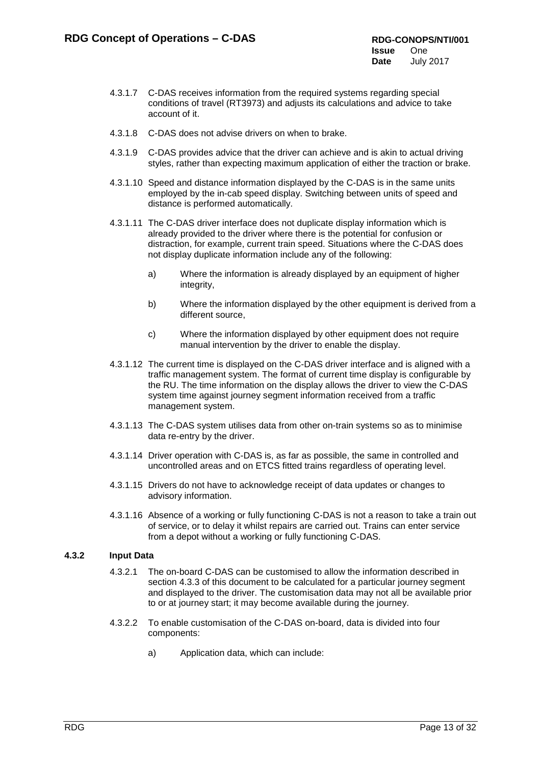- 4.3.1.7 C-DAS receives information from the required systems regarding special conditions of travel (RT3973) and adjusts its calculations and advice to take account of it.
- 4.3.1.8 C-DAS does not advise drivers on when to brake.
- 4.3.1.9 C-DAS provides advice that the driver can achieve and is akin to actual driving styles, rather than expecting maximum application of either the traction or brake.
- 4.3.1.10 Speed and distance information displayed by the C-DAS is in the same units employed by the in-cab speed display. Switching between units of speed and distance is performed automatically.
- 4.3.1.11 The C-DAS driver interface does not duplicate display information which is already provided to the driver where there is the potential for confusion or distraction, for example, current train speed. Situations where the C-DAS does not display duplicate information include any of the following:
	- a) Where the information is already displayed by an equipment of higher integrity,
	- b) Where the information displayed by the other equipment is derived from a different source,
	- c) Where the information displayed by other equipment does not require manual intervention by the driver to enable the display.
- 4.3.1.12 The current time is displayed on the C-DAS driver interface and is aligned with a traffic management system. The format of current time display is configurable by the RU. The time information on the display allows the driver to view the C-DAS system time against journey segment information received from a traffic management system.
- 4.3.1.13 The C-DAS system utilises data from other on-train systems so as to minimise data re-entry by the driver.
- 4.3.1.14 Driver operation with C-DAS is, as far as possible, the same in controlled and uncontrolled areas and on ETCS fitted trains regardless of operating level.
- 4.3.1.15 Drivers do not have to acknowledge receipt of data updates or changes to advisory information.
- 4.3.1.16 Absence of a working or fully functioning C-DAS is not a reason to take a train out of service, or to delay it whilst repairs are carried out. Trains can enter service from a depot without a working or fully functioning C-DAS.

### **4.3.2 Input Data**

- 4.3.2.1 The on-board C-DAS can be customised to allow the information described in section 4.3.3 of this document to be calculated for a particular journey segment and displayed to the driver. The customisation data may not all be available prior to or at journey start; it may become available during the journey.
- 4.3.2.2 To enable customisation of the C-DAS on-board, data is divided into four components:
	- a) Application data, which can include: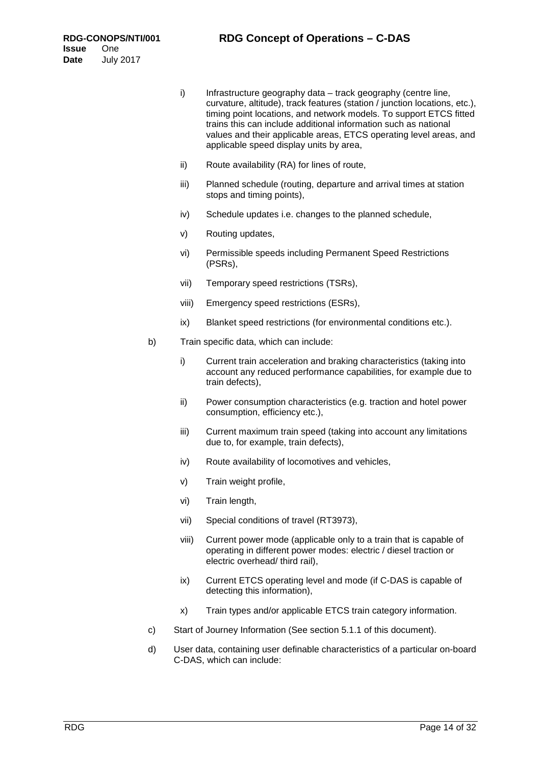- i) Infrastructure geography data track geography (centre line, curvature, altitude), track features (station / junction locations, etc.), timing point locations, and network models. To support ETCS fitted trains this can include additional information such as national values and their applicable areas, ETCS operating level areas, and applicable speed display units by area,
- ii) Route availability (RA) for lines of route,
- iii) Planned schedule (routing, departure and arrival times at station stops and timing points),
- iv) Schedule updates i.e. changes to the planned schedule,
- v) Routing updates,
- vi) Permissible speeds including Permanent Speed Restrictions (PSRs),
- vii) Temporary speed restrictions (TSRs),
- viii) Emergency speed restrictions (ESRs),
- ix) Blanket speed restrictions (for environmental conditions etc.).
- b) Train specific data, which can include:
	- i) Current train acceleration and braking characteristics (taking into account any reduced performance capabilities, for example due to train defects),
	- ii) Power consumption characteristics (e.g. traction and hotel power consumption, efficiency etc.),
	- iii) Current maximum train speed (taking into account any limitations due to, for example, train defects),
	- iv) Route availability of locomotives and vehicles,
	- v) Train weight profile,
	- vi) Train length,
	- vii) Special conditions of travel (RT3973),
	- viii) Current power mode (applicable only to a train that is capable of operating in different power modes: electric / diesel traction or electric overhead/ third rail),
	- ix) Current ETCS operating level and mode (if C-DAS is capable of detecting this information),
	- x) Train types and/or applicable ETCS train category information.
- c) Start of Journey Information (See section 5.1.1 of this document).
- d) User data, containing user definable characteristics of a particular on-board C-DAS, which can include: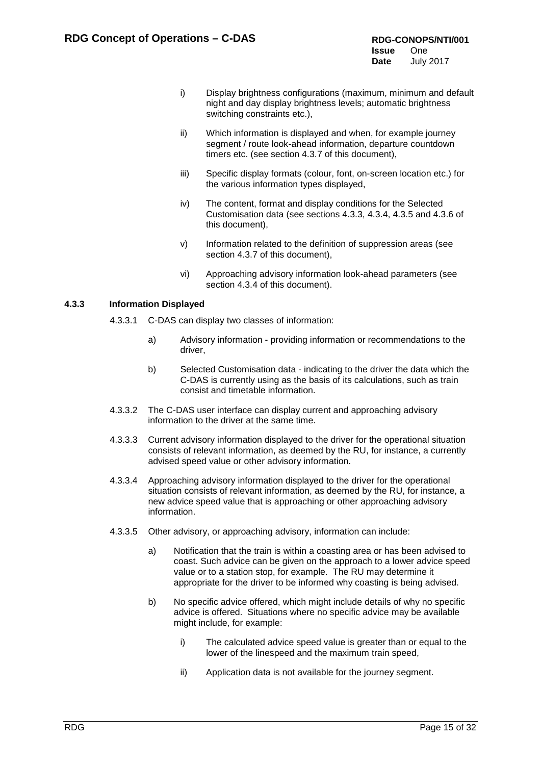- i) Display brightness configurations (maximum, minimum and default night and day display brightness levels; automatic brightness switching constraints etc.),
- ii) Which information is displayed and when, for example journey segment / route look-ahead information, departure countdown timers etc. (see section 4.3.7 of this document),
- iii) Specific display formats (colour, font, on-screen location etc.) for the various information types displayed,
- iv) The content, format and display conditions for the Selected Customisation data (see sections 4.3.3, 4.3.4, 4.3.5 and 4.3.6 of this document),
- v) Information related to the definition of suppression areas (see section 4.3.7 of this document),
- vi) Approaching advisory information look-ahead parameters (see section 4.3.4 of this document).

## **4.3.3 Information Displayed**

- 4.3.3.1 C-DAS can display two classes of information:
	- a) Advisory information providing information or recommendations to the driver,
	- b) Selected Customisation data indicating to the driver the data which the C-DAS is currently using as the basis of its calculations, such as train consist and timetable information.
- 4.3.3.2 The C-DAS user interface can display current and approaching advisory information to the driver at the same time.
- 4.3.3.3 Current advisory information displayed to the driver for the operational situation consists of relevant information, as deemed by the RU, for instance, a currently advised speed value or other advisory information.
- 4.3.3.4 Approaching advisory information displayed to the driver for the operational situation consists of relevant information, as deemed by the RU, for instance, a new advice speed value that is approaching or other approaching advisory information.
- 4.3.3.5 Other advisory, or approaching advisory, information can include:
	- a) Notification that the train is within a coasting area or has been advised to coast. Such advice can be given on the approach to a lower advice speed value or to a station stop, for example. The RU may determine it appropriate for the driver to be informed why coasting is being advised.
	- b) No specific advice offered, which might include details of why no specific advice is offered. Situations where no specific advice may be available might include, for example:
		- i) The calculated advice speed value is greater than or equal to the lower of the linespeed and the maximum train speed,
		- ii) Application data is not available for the journey segment.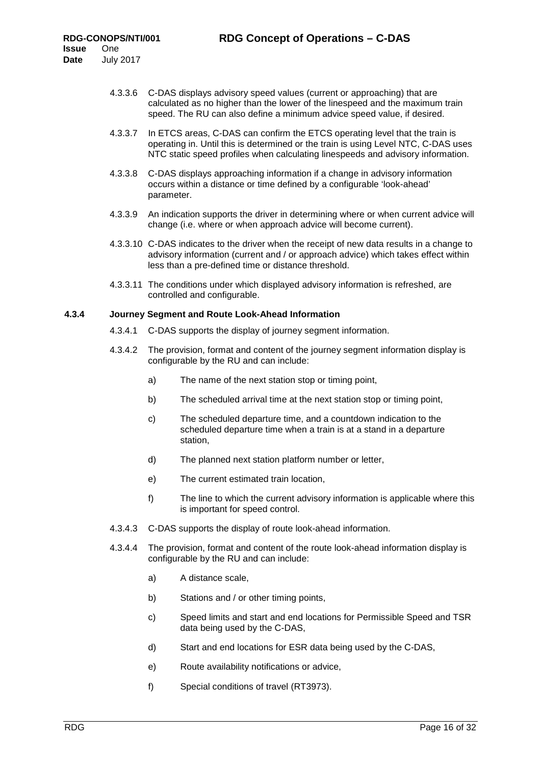- 4.3.3.6 C-DAS displays advisory speed values (current or approaching) that are calculated as no higher than the lower of the linespeed and the maximum train speed. The RU can also define a minimum advice speed value, if desired.
- 4.3.3.7 In ETCS areas, C-DAS can confirm the ETCS operating level that the train is operating in. Until this is determined or the train is using Level NTC, C-DAS uses NTC static speed profiles when calculating linespeeds and advisory information.
- 4.3.3.8 C-DAS displays approaching information if a change in advisory information occurs within a distance or time defined by a configurable 'look-ahead' parameter.
- 4.3.3.9 An indication supports the driver in determining where or when current advice will change (i.e. where or when approach advice will become current).
- 4.3.3.10 C-DAS indicates to the driver when the receipt of new data results in a change to advisory information (current and / or approach advice) which takes effect within less than a pre-defined time or distance threshold.
- 4.3.3.11 The conditions under which displayed advisory information is refreshed, are controlled and configurable.

#### <span id="page-15-0"></span>**4.3.4 Journey Segment and Route Look-Ahead Information**

- 4.3.4.1 C-DAS supports the display of journey segment information.
- 4.3.4.2 The provision, format and content of the journey segment information display is configurable by the RU and can include:
	- a) The name of the next station stop or timing point,
	- b) The scheduled arrival time at the next station stop or timing point,
	- c) The scheduled departure time, and a countdown indication to the scheduled departure time when a train is at a stand in a departure station,
	- d) The planned next station platform number or letter,
	- e) The current estimated train location,
	- f) The line to which the current advisory information is applicable where this is important for speed control.
- 4.3.4.3 C-DAS supports the display of route look-ahead information.
- 4.3.4.4 The provision, format and content of the route look-ahead information display is configurable by the RU and can include:
	- a) A distance scale,
	- b) Stations and / or other timing points,
	- c) Speed limits and start and end locations for Permissible Speed and TSR data being used by the C-DAS,
	- d) Start and end locations for ESR data being used by the C-DAS,
	- e) Route availability notifications or advice,
	- f) Special conditions of travel (RT3973).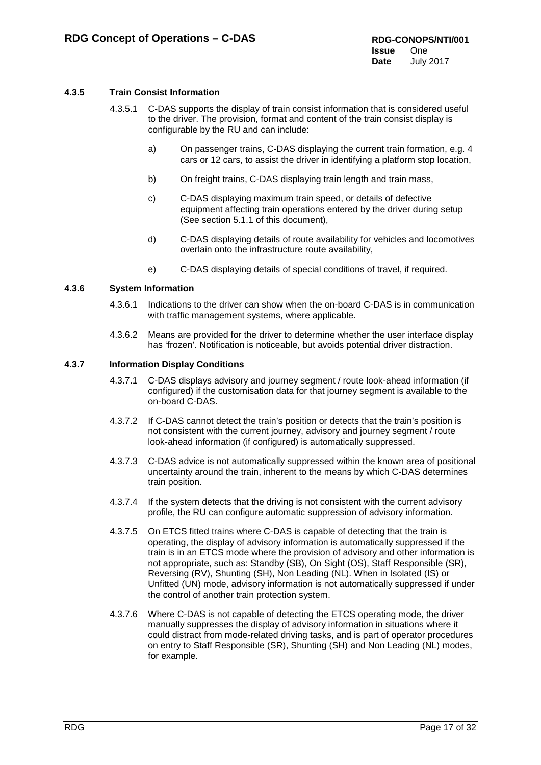## <span id="page-16-0"></span>**4.3.5 Train Consist Information**

- 4.3.5.1 C-DAS supports the display of train consist information that is considered useful to the driver. The provision, format and content of the train consist display is configurable by the RU and can include:
	- a) On passenger trains, C-DAS displaying the current train formation, e.g. 4 cars or 12 cars, to assist the driver in identifying a platform stop location,
	- b) On freight trains, C-DAS displaying train length and train mass,
	- c) C-DAS displaying maximum train speed, or details of defective equipment affecting train operations entered by the driver during setup (See section 5.1.1 of this document),
	- d) C-DAS displaying details of route availability for vehicles and locomotives overlain onto the infrastructure route availability,
	- e) C-DAS displaying details of special conditions of travel, if required.

#### **4.3.6 System Information**

- 4.3.6.1 Indications to the driver can show when the on-board C-DAS is in communication with traffic management systems, where applicable.
- 4.3.6.2 Means are provided for the driver to determine whether the user interface display has 'frozen'. Notification is noticeable, but avoids potential driver distraction.

#### **4.3.7 Information Display Conditions**

- 4.3.7.1 C-DAS displays advisory and journey segment / route look-ahead information (if configured) if the customisation data for that journey segment is available to the on-board C-DAS.
- 4.3.7.2 If C-DAS cannot detect the train's position or detects that the train's position is not consistent with the current journey, advisory and journey segment / route look-ahead information (if configured) is automatically suppressed.
- 4.3.7.3 C-DAS advice is not automatically suppressed within the known area of positional uncertainty around the train, inherent to the means by which C-DAS determines train position.
- 4.3.7.4 If the system detects that the driving is not consistent with the current advisory profile, the RU can configure automatic suppression of advisory information.
- 4.3.7.5 On ETCS fitted trains where C-DAS is capable of detecting that the train is operating, the display of advisory information is automatically suppressed if the train is in an ETCS mode where the provision of advisory and other information is not appropriate, such as: Standby (SB), On Sight (OS), Staff Responsible (SR), Reversing (RV), Shunting (SH), Non Leading (NL). When in Isolated (IS) or Unfitted (UN) mode, advisory information is not automatically suppressed if under the control of another train protection system.
- 4.3.7.6 Where C-DAS is not capable of detecting the ETCS operating mode, the driver manually suppresses the display of advisory information in situations where it could distract from mode-related driving tasks, and is part of operator procedures on entry to Staff Responsible (SR), Shunting (SH) and Non Leading (NL) modes, for example.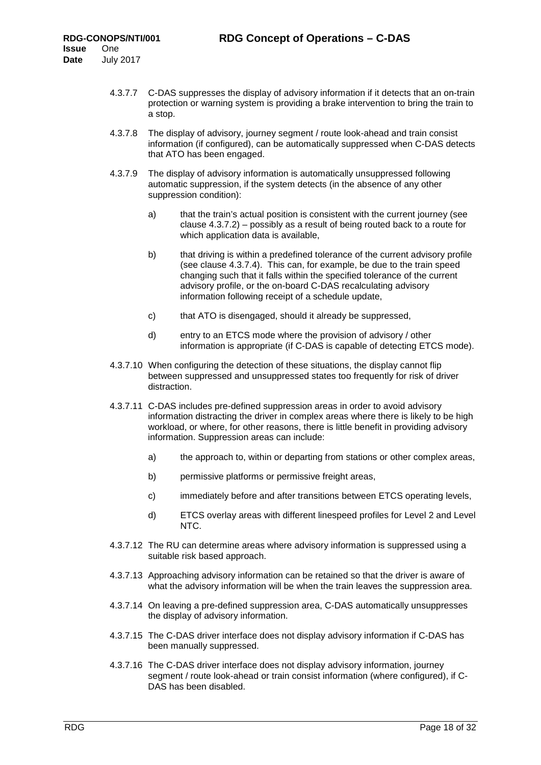- 4.3.7.7 C-DAS suppresses the display of advisory information if it detects that an on-train protection or warning system is providing a brake intervention to bring the train to a stop.
- 4.3.7.8 The display of advisory, journey segment / route look-ahead and train consist information (if configured), can be automatically suppressed when C-DAS detects that ATO has been engaged.
- 4.3.7.9 The display of advisory information is automatically unsuppressed following automatic suppression, if the system detects (in the absence of any other suppression condition):
	- a) that the train's actual position is consistent with the current journey (see clause 4.3.7.2) – possibly as a result of being routed back to a route for which application data is available.
	- b) that driving is within a predefined tolerance of the current advisory profile (see clause 4.3.7.4). This can, for example, be due to the train speed changing such that it falls within the specified tolerance of the current advisory profile, or the on-board C-DAS recalculating advisory information following receipt of a schedule update,
	- c) that ATO is disengaged, should it already be suppressed,
	- d) entry to an ETCS mode where the provision of advisory / other information is appropriate (if C-DAS is capable of detecting ETCS mode).
- 4.3.7.10 When configuring the detection of these situations, the display cannot flip between suppressed and unsuppressed states too frequently for risk of driver distraction.
- 4.3.7.11 C-DAS includes pre-defined suppression areas in order to avoid advisory information distracting the driver in complex areas where there is likely to be high workload, or where, for other reasons, there is little benefit in providing advisory information. Suppression areas can include:
	- a) the approach to, within or departing from stations or other complex areas,
	- b) permissive platforms or permissive freight areas,
	- c) immediately before and after transitions between ETCS operating levels,
	- d) ETCS overlay areas with different linespeed profiles for Level 2 and Level NTC.
- 4.3.7.12 The RU can determine areas where advisory information is suppressed using a suitable risk based approach.
- 4.3.7.13 Approaching advisory information can be retained so that the driver is aware of what the advisory information will be when the train leaves the suppression area.
- 4.3.7.14 On leaving a pre-defined suppression area, C-DAS automatically unsuppresses the display of advisory information.
- 4.3.7.15 The C-DAS driver interface does not display advisory information if C-DAS has been manually suppressed.
- 4.3.7.16 The C-DAS driver interface does not display advisory information, journey segment / route look-ahead or train consist information (where configured), if C-DAS has been disabled.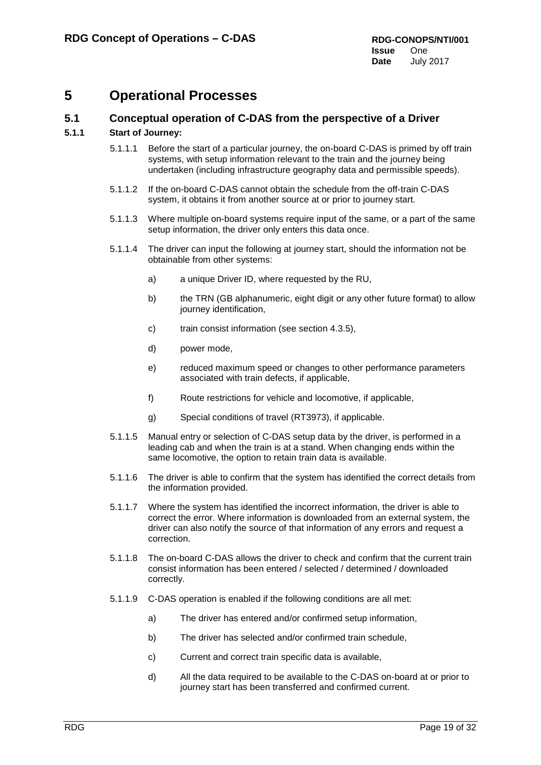## <span id="page-18-0"></span>**5 Operational Processes**

## <span id="page-18-1"></span>**5.1 Conceptual operation of C-DAS from the perspective of a Driver**

## **5.1.1 Start of Journey:**

- 5.1.1.1 Before the start of a particular journey, the on-board C-DAS is primed by off train systems, with setup information relevant to the train and the journey being undertaken (including infrastructure geography data and permissible speeds).
- 5.1.1.2 If the on-board C-DAS cannot obtain the schedule from the off-train C-DAS system, it obtains it from another source at or prior to journey start.
- 5.1.1.3 Where multiple on-board systems require input of the same, or a part of the same setup information, the driver only enters this data once.
- 5.1.1.4 The driver can input the following at journey start, should the information not be obtainable from other systems:
	- a) a unique Driver ID, where requested by the RU,
	- b) the TRN (GB alphanumeric, eight digit or any other future format) to allow journey identification,
	- c) train consist information (see section [4.3.5\)](#page-16-0),
	- d) power mode,
	- e) reduced maximum speed or changes to other performance parameters associated with train defects, if applicable,
	- f) Route restrictions for vehicle and locomotive, if applicable,
	- g) Special conditions of travel (RT3973), if applicable.
- 5.1.1.5 Manual entry or selection of C-DAS setup data by the driver, is performed in a leading cab and when the train is at a stand. When changing ends within the same locomotive, the option to retain train data is available.
- 5.1.1.6 The driver is able to confirm that the system has identified the correct details from the information provided.
- 5.1.1.7 Where the system has identified the incorrect information, the driver is able to correct the error. Where information is downloaded from an external system, the driver can also notify the source of that information of any errors and request a correction.
- 5.1.1.8 The on-board C-DAS allows the driver to check and confirm that the current train consist information has been entered / selected / determined / downloaded correctly.
- 5.1.1.9 C-DAS operation is enabled if the following conditions are all met:
	- a) The driver has entered and/or confirmed setup information,
	- b) The driver has selected and/or confirmed train schedule,
	- c) Current and correct train specific data is available,
	- d) All the data required to be available to the C-DAS on-board at or prior to journey start has been transferred and confirmed current.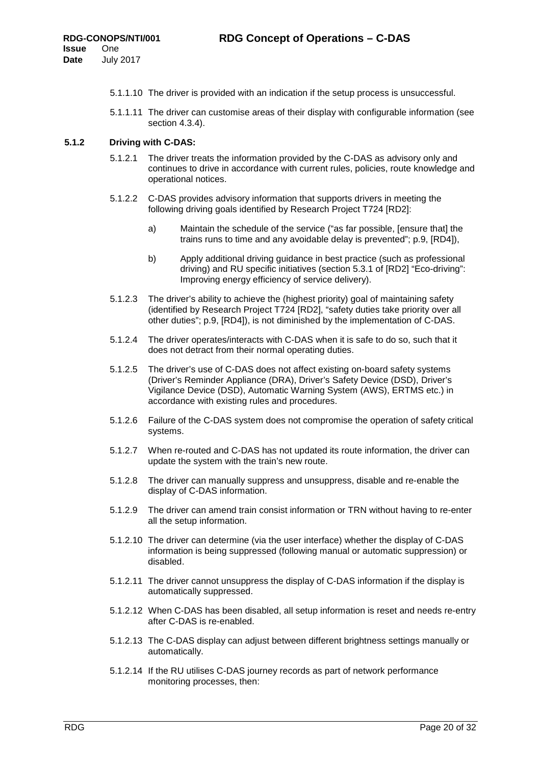- 5.1.1.10 The driver is provided with an indication if the setup process is unsuccessful.
- 5.1.1.11 The driver can customise areas of their display with configurable information (see section [4.3.4\)](#page-15-0).

### **5.1.2 Driving with C-DAS:**

- 5.1.2.1 The driver treats the information provided by the C-DAS as advisory only and continues to drive in accordance with current rules, policies, route knowledge and operational notices.
- 5.1.2.2 C-DAS provides advisory information that supports drivers in meeting the following driving goals identified by Research Project T724 [RD2]:
	- a) Maintain the schedule of the service ("as far possible, [ensure that] the trains runs to time and any avoidable delay is prevented"; p.9, [RD4]),
	- b) Apply additional driving guidance in best practice (such as professional driving) and RU specific initiatives (section 5.3.1 of [RD2] "Eco-driving": Improving energy efficiency of service delivery).
- 5.1.2.3 The driver's ability to achieve the (highest priority) goal of maintaining safety (identified by Research Project T724 [RD2], "safety duties take priority over all other duties"; p.9, [RD4]), is not diminished by the implementation of C-DAS.
- 5.1.2.4 The driver operates/interacts with C-DAS when it is safe to do so, such that it does not detract from their normal operating duties.
- 5.1.2.5 The driver's use of C-DAS does not affect existing on-board safety systems (Driver's Reminder Appliance (DRA), Driver's Safety Device (DSD), Driver's Vigilance Device (DSD), Automatic Warning System (AWS), ERTMS etc.) in accordance with existing rules and procedures.
- 5.1.2.6 Failure of the C-DAS system does not compromise the operation of safety critical systems.
- 5.1.2.7 When re-routed and C-DAS has not updated its route information, the driver can update the system with the train's new route.
- 5.1.2.8 The driver can manually suppress and unsuppress, disable and re-enable the display of C-DAS information.
- 5.1.2.9 The driver can amend train consist information or TRN without having to re-enter all the setup information.
- 5.1.2.10 The driver can determine (via the user interface) whether the display of C-DAS information is being suppressed (following manual or automatic suppression) or disabled.
- 5.1.2.11 The driver cannot unsuppress the display of C-DAS information if the display is automatically suppressed.
- 5.1.2.12 When C-DAS has been disabled, all setup information is reset and needs re-entry after C-DAS is re-enabled.
- 5.1.2.13 The C-DAS display can adjust between different brightness settings manually or automatically.
- 5.1.2.14 If the RU utilises C-DAS journey records as part of network performance monitoring processes, then: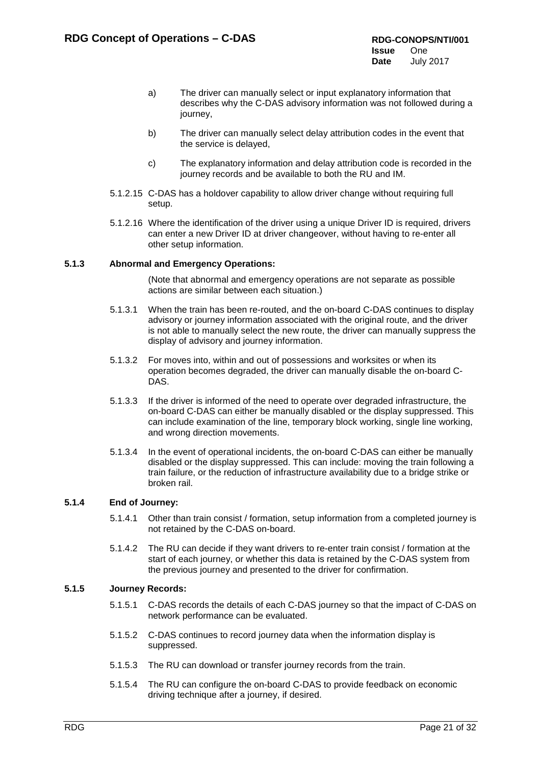- a) The driver can manually select or input explanatory information that describes why the C-DAS advisory information was not followed during a journey,
- b) The driver can manually select delay attribution codes in the event that the service is delayed,
- c) The explanatory information and delay attribution code is recorded in the journey records and be available to both the RU and IM.
- 5.1.2.15 C-DAS has a holdover capability to allow driver change without requiring full setup.
- 5.1.2.16 Where the identification of the driver using a unique Driver ID is required, drivers can enter a new Driver ID at driver changeover, without having to re-enter all other setup information.

#### **5.1.3 Abnormal and Emergency Operations:**

(Note that abnormal and emergency operations are not separate as possible actions are similar between each situation.)

- 5.1.3.1 When the train has been re-routed, and the on-board C-DAS continues to display advisory or journey information associated with the original route, and the driver is not able to manually select the new route, the driver can manually suppress the display of advisory and journey information.
- 5.1.3.2 For moves into, within and out of possessions and worksites or when its operation becomes degraded, the driver can manually disable the on-board C-DAS.
- 5.1.3.3 If the driver is informed of the need to operate over degraded infrastructure, the on-board C-DAS can either be manually disabled or the display suppressed. This can include examination of the line, temporary block working, single line working, and wrong direction movements.
- 5.1.3.4 In the event of operational incidents, the on-board C-DAS can either be manually disabled or the display suppressed. This can include: moving the train following a train failure, or the reduction of infrastructure availability due to a bridge strike or broken rail.

### **5.1.4 End of Journey:**

- 5.1.4.1 Other than train consist / formation, setup information from a completed journey is not retained by the C-DAS on-board.
- 5.1.4.2 The RU can decide if they want drivers to re-enter train consist / formation at the start of each journey, or whether this data is retained by the C-DAS system from the previous journey and presented to the driver for confirmation.

#### **5.1.5 Journey Records:**

- 5.1.5.1 C-DAS records the details of each C-DAS journey so that the impact of C-DAS on network performance can be evaluated.
- 5.1.5.2 C-DAS continues to record journey data when the information display is suppressed.
- 5.1.5.3 The RU can download or transfer journey records from the train.
- 5.1.5.4 The RU can configure the on-board C-DAS to provide feedback on economic driving technique after a journey, if desired.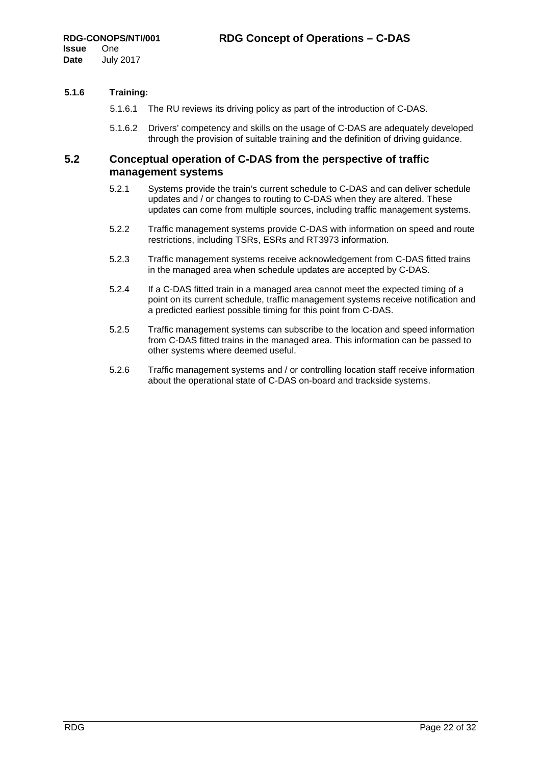## **5.1.6 Training:**

- 5.1.6.1 The RU reviews its driving policy as part of the introduction of C-DAS.
- 5.1.6.2 Drivers' competency and skills on the usage of C-DAS are adequately developed through the provision of suitable training and the definition of driving guidance.

## <span id="page-21-0"></span>**5.2 Conceptual operation of C-DAS from the perspective of traffic management systems**

- 5.2.1 Systems provide the train's current schedule to C-DAS and can deliver schedule updates and / or changes to routing to C-DAS when they are altered. These updates can come from multiple sources, including traffic management systems.
- 5.2.2 Traffic management systems provide C-DAS with information on speed and route restrictions, including TSRs, ESRs and RT3973 information.
- 5.2.3 Traffic management systems receive acknowledgement from C-DAS fitted trains in the managed area when schedule updates are accepted by C-DAS.
- 5.2.4 If a C-DAS fitted train in a managed area cannot meet the expected timing of a point on its current schedule, traffic management systems receive notification and a predicted earliest possible timing for this point from C-DAS.
- 5.2.5 Traffic management systems can subscribe to the location and speed information from C-DAS fitted trains in the managed area. This information can be passed to other systems where deemed useful.
- 5.2.6 Traffic management systems and / or controlling location staff receive information about the operational state of C-DAS on-board and trackside systems.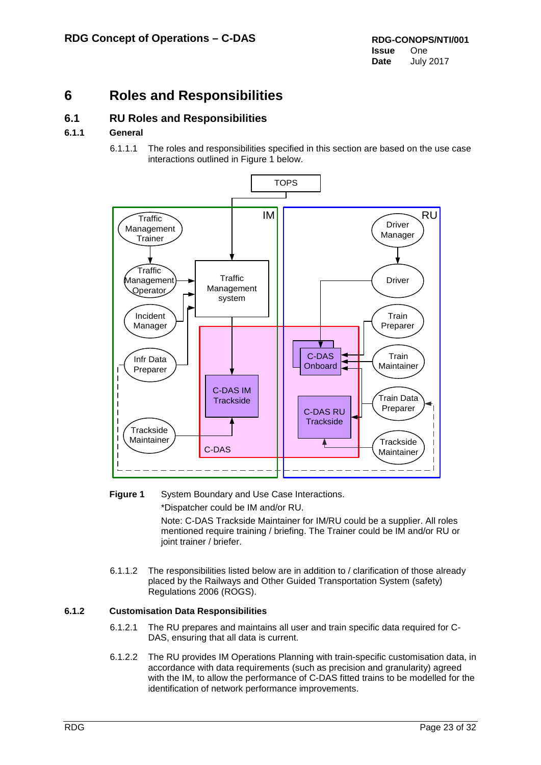## <span id="page-22-0"></span>**6 Roles and Responsibilities**

## <span id="page-22-1"></span>**6.1 RU Roles and Responsibilities**

## **6.1.1 General**

6.1.1.1 The roles and responsibilities specified in this section are based on the use case interactions outlined in Figure 1 below.



## **Figure 1** System Boundary and Use Case Interactions. \*Dispatcher could be IM and/or RU. Note: C-DAS Trackside Maintainer for IM/RU could be a supplier. All roles mentioned require training / briefing. The Trainer could be IM and/or RU or

- 6.1.1.2 The responsibilities listed below are in addition to / clarification of those already
	- placed by the Railways and Other Guided Transportation System (safety) Regulations 2006 (ROGS).

## **6.1.2 Customisation Data Responsibilities**

joint trainer / briefer.

- 6.1.2.1 The RU prepares and maintains all user and train specific data required for C-DAS, ensuring that all data is current.
- 6.1.2.2 The RU provides IM Operations Planning with train-specific customisation data, in accordance with data requirements (such as precision and granularity) agreed with the IM, to allow the performance of C-DAS fitted trains to be modelled for the identification of network performance improvements.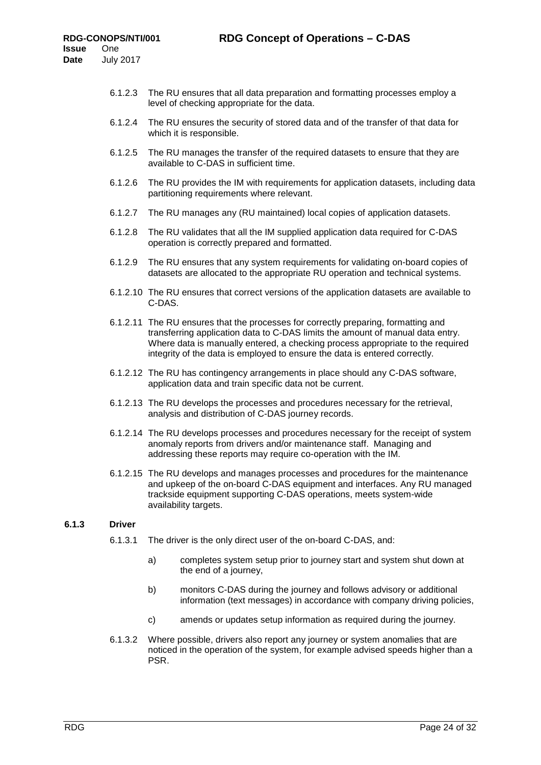- 6.1.2.3 The RU ensures that all data preparation and formatting processes employ a level of checking appropriate for the data.
- 6.1.2.4 The RU ensures the security of stored data and of the transfer of that data for which it is responsible.
- 6.1.2.5 The RU manages the transfer of the required datasets to ensure that they are available to C-DAS in sufficient time.
- 6.1.2.6 The RU provides the IM with requirements for application datasets, including data partitioning requirements where relevant.
- 6.1.2.7 The RU manages any (RU maintained) local copies of application datasets.
- 6.1.2.8 The RU validates that all the IM supplied application data required for C-DAS operation is correctly prepared and formatted.
- 6.1.2.9 The RU ensures that any system requirements for validating on-board copies of datasets are allocated to the appropriate RU operation and technical systems.
- 6.1.2.10 The RU ensures that correct versions of the application datasets are available to C-DAS.
- 6.1.2.11 The RU ensures that the processes for correctly preparing, formatting and transferring application data to C-DAS limits the amount of manual data entry. Where data is manually entered, a checking process appropriate to the required integrity of the data is employed to ensure the data is entered correctly.
- 6.1.2.12 The RU has contingency arrangements in place should any C-DAS software, application data and train specific data not be current.
- 6.1.2.13 The RU develops the processes and procedures necessary for the retrieval, analysis and distribution of C-DAS journey records.
- 6.1.2.14 The RU develops processes and procedures necessary for the receipt of system anomaly reports from drivers and/or maintenance staff. Managing and addressing these reports may require co-operation with the IM.
- 6.1.2.15 The RU develops and manages processes and procedures for the maintenance and upkeep of the on-board C-DAS equipment and interfaces. Any RU managed trackside equipment supporting C-DAS operations, meets system-wide availability targets.

### **6.1.3 Driver**

- 6.1.3.1 The driver is the only direct user of the on-board C-DAS, and:
	- a) completes system setup prior to journey start and system shut down at the end of a journey,
	- b) monitors C-DAS during the journey and follows advisory or additional information (text messages) in accordance with company driving policies,
	- c) amends or updates setup information as required during the journey.
- 6.1.3.2 Where possible, drivers also report any journey or system anomalies that are noticed in the operation of the system, for example advised speeds higher than a PSR.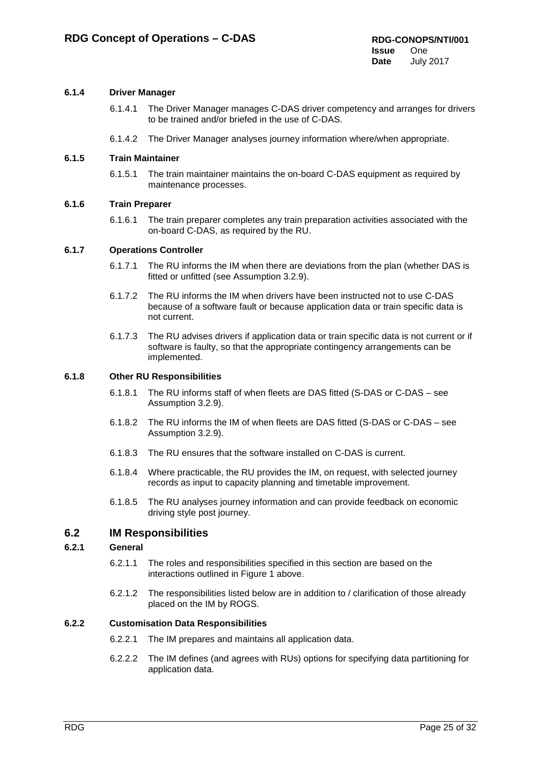## **6.1.4 Driver Manager**

- 6.1.4.1 The Driver Manager manages C-DAS driver competency and arranges for drivers to be trained and/or briefed in the use of C-DAS.
- 6.1.4.2 The Driver Manager analyses journey information where/when appropriate.

#### **6.1.5 Train Maintainer**

6.1.5.1 The train maintainer maintains the on-board C-DAS equipment as required by maintenance processes.

#### **6.1.6 Train Preparer**

6.1.6.1 The train preparer completes any train preparation activities associated with the on-board C-DAS, as required by the RU.

#### **6.1.7 Operations Controller**

- 6.1.7.1 The RU informs the IM when there are deviations from the plan (whether DAS is fitted or unfitted (see Assumption 3.2.9).
- 6.1.7.2 The RU informs the IM when drivers have been instructed not to use C-DAS because of a software fault or because application data or train specific data is not current.
- 6.1.7.3 The RU advises drivers if application data or train specific data is not current or if software is faulty, so that the appropriate contingency arrangements can be implemented.

#### **6.1.8 Other RU Responsibilities**

- 6.1.8.1 The RU informs staff of when fleets are DAS fitted (S-DAS or C-DAS see Assumption 3.2.9).
- 6.1.8.2 The RU informs the IM of when fleets are DAS fitted (S-DAS or C-DAS see Assumption 3.2.9).
- 6.1.8.3 The RU ensures that the software installed on C-DAS is current.
- 6.1.8.4 Where practicable, the RU provides the IM, on request, with selected journey records as input to capacity planning and timetable improvement.
- 6.1.8.5 The RU analyses journey information and can provide feedback on economic driving style post journey.

## <span id="page-24-0"></span>**6.2 IM Responsibilities**

### **6.2.1 General**

- 6.2.1.1 The roles and responsibilities specified in this section are based on the interactions outlined in Figure 1 above.
- 6.2.1.2 The responsibilities listed below are in addition to / clarification of those already placed on the IM by ROGS.

#### **6.2.2 Customisation Data Responsibilities**

- 6.2.2.1 The IM prepares and maintains all application data.
- 6.2.2.2 The IM defines (and agrees with RUs) options for specifying data partitioning for application data.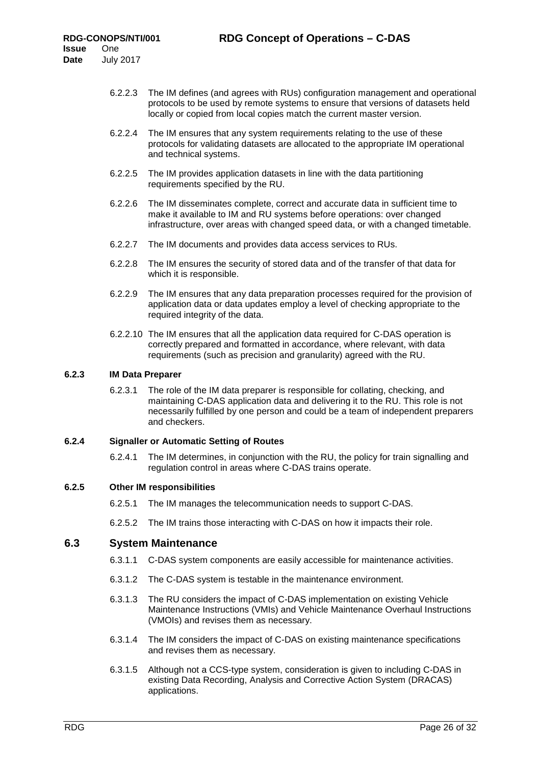- 6.2.2.3 The IM defines (and agrees with RUs) configuration management and operational protocols to be used by remote systems to ensure that versions of datasets held locally or copied from local copies match the current master version.
- 6.2.2.4 The IM ensures that any system requirements relating to the use of these protocols for validating datasets are allocated to the appropriate IM operational and technical systems.
- 6.2.2.5 The IM provides application datasets in line with the data partitioning requirements specified by the RU.
- 6.2.2.6 The IM disseminates complete, correct and accurate data in sufficient time to make it available to IM and RU systems before operations: over changed infrastructure, over areas with changed speed data, or with a changed timetable.
- 6.2.2.7 The IM documents and provides data access services to RUs.
- 6.2.2.8 The IM ensures the security of stored data and of the transfer of that data for which it is responsible.
- 6.2.2.9 The IM ensures that any data preparation processes required for the provision of application data or data updates employ a level of checking appropriate to the required integrity of the data.
- 6.2.2.10 The IM ensures that all the application data required for C-DAS operation is correctly prepared and formatted in accordance, where relevant, with data requirements (such as precision and granularity) agreed with the RU.

#### **6.2.3 IM Data Preparer**

6.2.3.1 The role of the IM data preparer is responsible for collating, checking, and maintaining C-DAS application data and delivering it to the RU. This role is not necessarily fulfilled by one person and could be a team of independent preparers and checkers.

### **6.2.4 Signaller or Automatic Setting of Routes**

6.2.4.1 The IM determines, in conjunction with the RU, the policy for train signalling and regulation control in areas where C-DAS trains operate.

#### **6.2.5 Other IM responsibilities**

- 6.2.5.1 The IM manages the telecommunication needs to support C-DAS.
- 6.2.5.2 The IM trains those interacting with C-DAS on how it impacts their role.

### <span id="page-25-0"></span>**6.3 System Maintenance**

- 6.3.1.1 C-DAS system components are easily accessible for maintenance activities.
- 6.3.1.2 The C-DAS system is testable in the maintenance environment.
- 6.3.1.3 The RU considers the impact of C-DAS implementation on existing Vehicle Maintenance Instructions (VMIs) and Vehicle Maintenance Overhaul Instructions (VMOIs) and revises them as necessary.
- 6.3.1.4 The IM considers the impact of C-DAS on existing maintenance specifications and revises them as necessary.
- 6.3.1.5 Although not a CCS-type system, consideration is given to including C-DAS in existing Data Recording, Analysis and Corrective Action System (DRACAS) applications.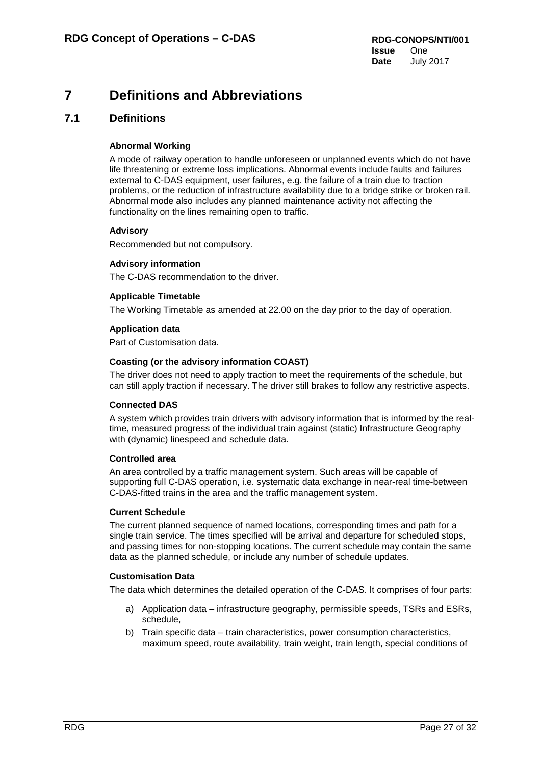## <span id="page-26-0"></span>**7 Definitions and Abbreviations**

## <span id="page-26-1"></span>**7.1 Definitions**

## **Abnormal Working**

A mode of railway operation to handle unforeseen or unplanned events which do not have life threatening or extreme loss implications. Abnormal events include faults and failures external to C-DAS equipment, user failures, e.g. the failure of a train due to traction problems, or the reduction of infrastructure availability due to a bridge strike or broken rail. Abnormal mode also includes any planned maintenance activity not affecting the functionality on the lines remaining open to traffic.

## **Advisory**

Recommended but not compulsory.

### **Advisory information**

The C-DAS recommendation to the driver.

## **Applicable Timetable**

The Working Timetable as amended at 22.00 on the day prior to the day of operation.

## **Application data**

Part of Customisation data.

### **Coasting (or the advisory information COAST)**

The driver does not need to apply traction to meet the requirements of the schedule, but can still apply traction if necessary. The driver still brakes to follow any restrictive aspects.

### **Connected DAS**

A system which provides train drivers with advisory information that is informed by the realtime, measured progress of the individual train against (static) Infrastructure Geography with (dynamic) linespeed and schedule data.

### **Controlled area**

An area controlled by a traffic management system. Such areas will be capable of supporting full C-DAS operation, i.e. systematic data exchange in near-real time-between C-DAS-fitted trains in the area and the traffic management system.

### **Current Schedule**

The current planned sequence of named locations, corresponding times and path for a single train service. The times specified will be arrival and departure for scheduled stops, and passing times for non-stopping locations. The current schedule may contain the same data as the planned schedule, or include any number of schedule updates.

### **Customisation Data**

The data which determines the detailed operation of the C-DAS. It comprises of four parts:

- a) Application data infrastructure geography, permissible speeds, TSRs and ESRs, schedule,
- b) Train specific data train characteristics, power consumption characteristics, maximum speed, route availability, train weight, train length, special conditions of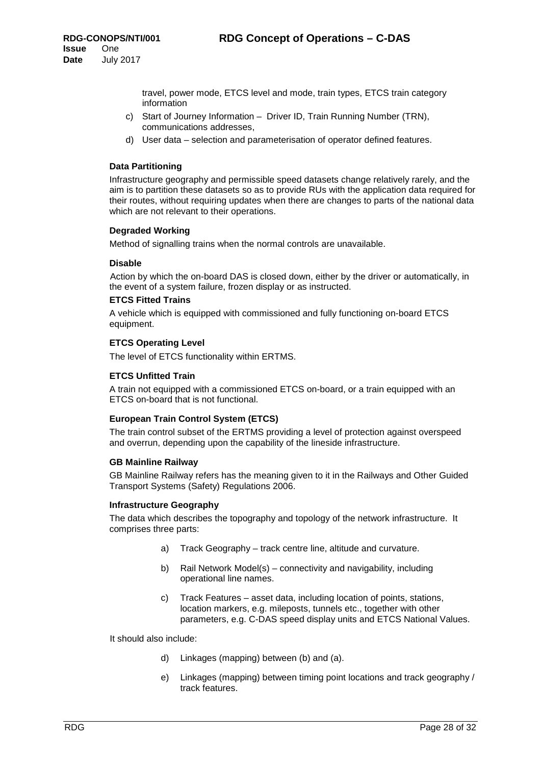travel, power mode, ETCS level and mode, train types, ETCS train category information

- c) Start of Journey Information Driver ID, Train Running Number (TRN), communications addresses,
- d) User data selection and parameterisation of operator defined features.

### **Data Partitioning**

Infrastructure geography and permissible speed datasets change relatively rarely, and the aim is to partition these datasets so as to provide RUs with the application data required for their routes, without requiring updates when there are changes to parts of the national data which are not relevant to their operations.

#### **Degraded Working**

Method of signalling trains when the normal controls are unavailable.

#### **Disable**

Action by which the on-board DAS is closed down, either by the driver or automatically, in the event of a system failure, frozen display or as instructed.

#### **ETCS Fitted Trains**

A vehicle which is equipped with commissioned and fully functioning on-board ETCS equipment.

#### **ETCS Operating Level**

The level of ETCS functionality within ERTMS.

#### **ETCS Unfitted Train**

A train not equipped with a commissioned ETCS on-board, or a train equipped with an ETCS on-board that is not functional.

#### **European Train Control System (ETCS)**

The train control subset of the ERTMS providing a level of protection against overspeed and overrun, depending upon the capability of the lineside infrastructure.

#### **GB Mainline Railway**

GB Mainline Railway refers has the meaning given to it in the Railways and Other Guided Transport Systems (Safety) Regulations 2006.

#### **Infrastructure Geography**

The data which describes the topography and topology of the network infrastructure. It comprises three parts:

- a) Track Geography track centre line, altitude and curvature.
- b) Rail Network Model(s) connectivity and navigability, including operational line names.
- c) Track Features asset data, including location of points, stations, location markers, e.g. mileposts, tunnels etc., together with other parameters, e.g. C-DAS speed display units and ETCS National Values.

It should also include:

- d) Linkages (mapping) between (b) and (a).
- e) Linkages (mapping) between timing point locations and track geography / track features.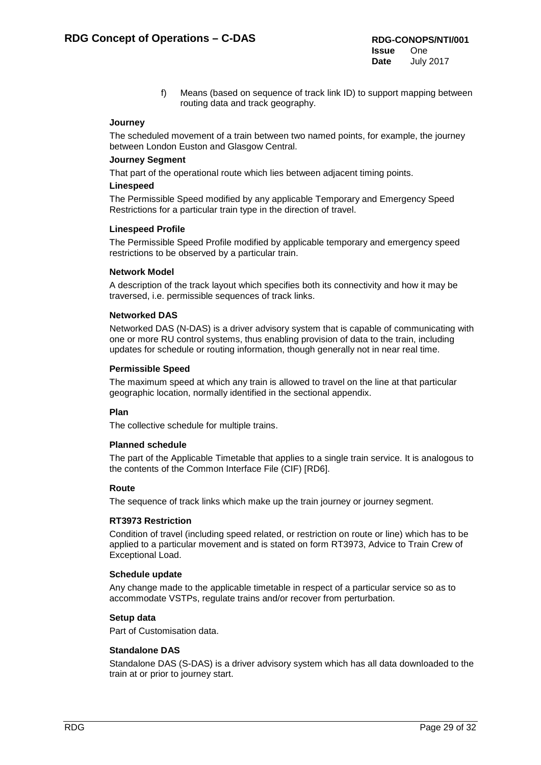f) Means (based on sequence of track link ID) to support mapping between routing data and track geography.

#### **Journey**

The scheduled movement of a train between two named points, for example, the journey between London Euston and Glasgow Central.

#### **Journey Segment**

That part of the operational route which lies between adjacent timing points.

### **Linespeed**

The Permissible Speed modified by any applicable Temporary and Emergency Speed Restrictions for a particular train type in the direction of travel.

#### **Linespeed Profile**

The Permissible Speed Profile modified by applicable temporary and emergency speed restrictions to be observed by a particular train.

#### **Network Model**

A description of the track layout which specifies both its connectivity and how it may be traversed, i.e. permissible sequences of track links.

#### **Networked DAS**

Networked DAS (N-DAS) is a driver advisory system that is capable of communicating with one or more RU control systems, thus enabling provision of data to the train, including updates for schedule or routing information, though generally not in near real time.

#### **Permissible Speed**

The maximum speed at which any train is allowed to travel on the line at that particular geographic location, normally identified in the sectional appendix.

### **Plan**

The collective schedule for multiple trains.

#### **Planned schedule**

The part of the Applicable Timetable that applies to a single train service. It is analogous to the contents of the Common Interface File (CIF) [\[RD6\].](#page-31-2)

#### **Route**

The sequence of track links which make up the train journey or journey segment.

### **RT3973 Restriction**

Condition of travel (including speed related, or restriction on route or line) which has to be applied to a particular movement and is stated on form RT3973, Advice to Train Crew of Exceptional Load.

#### **Schedule update**

Any change made to the applicable timetable in respect of a particular service so as to accommodate VSTPs, regulate trains and/or recover from perturbation.

### **Setup data**

Part of Customisation data.

### **Standalone DAS**

Standalone DAS (S-DAS) is a driver advisory system which has all data downloaded to the train at or prior to journey start.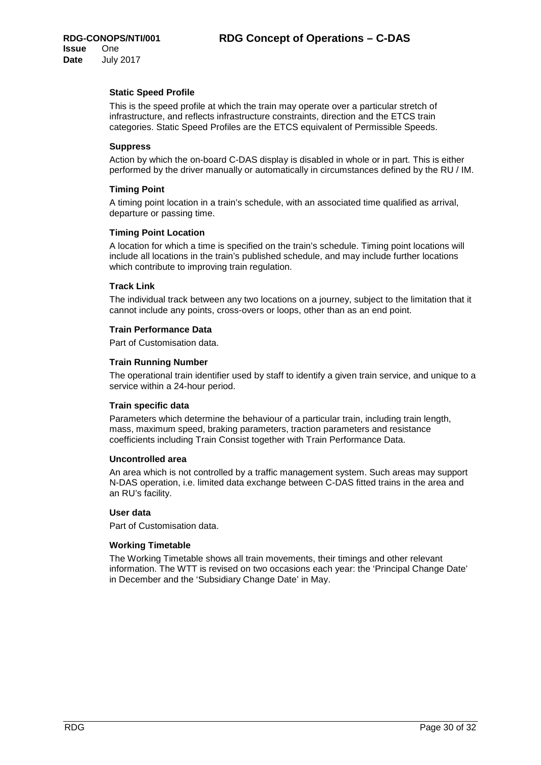### **Static Speed Profile**

This is the speed profile at which the train may operate over a particular stretch of infrastructure, and reflects infrastructure constraints, direction and the ETCS train categories. Static Speed Profiles are the ETCS equivalent of Permissible Speeds.

#### **Suppress**

Action by which the on-board C-DAS display is disabled in whole or in part. This is either performed by the driver manually or automatically in circumstances defined by the RU / IM.

#### **Timing Point**

A timing point location in a train's schedule, with an associated time qualified as arrival, departure or passing time.

#### **Timing Point Location**

A location for which a time is specified on the train's schedule. Timing point locations will include all locations in the train's published schedule, and may include further locations which contribute to improving train regulation.

#### **Track Link**

The individual track between any two locations on a journey, subject to the limitation that it cannot include any points, cross-overs or loops, other than as an end point.

#### **Train Performance Data**

Part of Customisation data.

#### **Train Running Number**

The operational train identifier used by staff to identify a given train service, and unique to a service within a 24-hour period.

#### **Train specific data**

Parameters which determine the behaviour of a particular train, including train length, mass, maximum speed, braking parameters, traction parameters and resistance coefficients including Train Consist together with Train Performance Data.

#### **Uncontrolled area**

An area which is not controlled by a traffic management system. Such areas may support N-DAS operation, i.e. limited data exchange between C-DAS fitted trains in the area and an RU's facility.

### **User data**

Part of Customisation data.

### **Working Timetable**

The Working Timetable shows all train movements, their timings and other relevant information. The WTT is revised on two occasions each year: the 'Principal Change Date' in December and the 'Subsidiary Change Date' in May.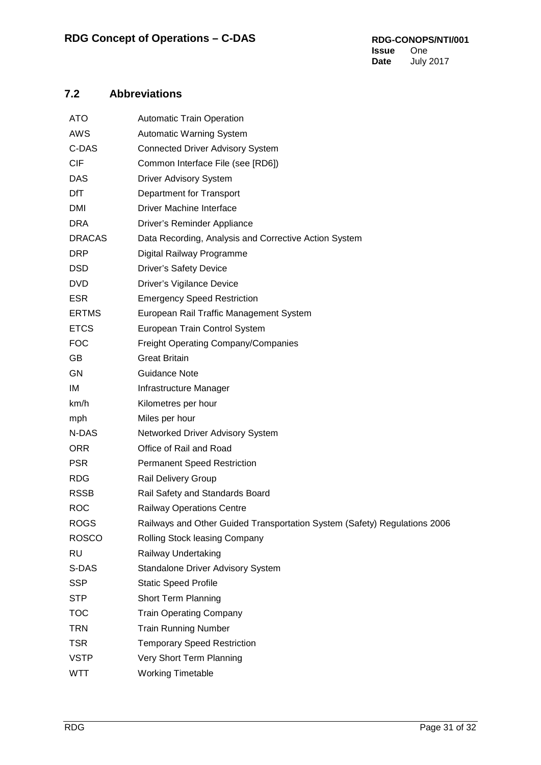## <span id="page-30-0"></span>**7.2 Abbreviations**

| ATO           | <b>Automatic Train Operation</b>                                          |  |  |
|---------------|---------------------------------------------------------------------------|--|--|
| <b>AWS</b>    | Automatic Warning System                                                  |  |  |
| C-DAS         | <b>Connected Driver Advisory System</b>                                   |  |  |
| <b>CIF</b>    | Common Interface File (see [RD6])                                         |  |  |
| DAS           | <b>Driver Advisory System</b>                                             |  |  |
| DfT           | Department for Transport                                                  |  |  |
| <b>DMI</b>    | <b>Driver Machine Interface</b>                                           |  |  |
| <b>DRA</b>    | Driver's Reminder Appliance                                               |  |  |
| <b>DRACAS</b> | Data Recording, Analysis and Corrective Action System                     |  |  |
| <b>DRP</b>    | Digital Railway Programme                                                 |  |  |
| <b>DSD</b>    | <b>Driver's Safety Device</b>                                             |  |  |
| <b>DVD</b>    | Driver's Vigilance Device                                                 |  |  |
| <b>ESR</b>    | <b>Emergency Speed Restriction</b>                                        |  |  |
| <b>ERTMS</b>  | European Rail Traffic Management System                                   |  |  |
| <b>ETCS</b>   | European Train Control System                                             |  |  |
| <b>FOC</b>    | Freight Operating Company/Companies                                       |  |  |
| GB            | <b>Great Britain</b>                                                      |  |  |
| GN            | <b>Guidance Note</b>                                                      |  |  |
| IM            | Infrastructure Manager                                                    |  |  |
| km/h          | Kilometres per hour                                                       |  |  |
| mph           | Miles per hour                                                            |  |  |
| N-DAS         | Networked Driver Advisory System                                          |  |  |
| <b>ORR</b>    | Office of Rail and Road                                                   |  |  |
| <b>PSR</b>    | <b>Permanent Speed Restriction</b>                                        |  |  |
| <b>RDG</b>    | Rail Delivery Group                                                       |  |  |
| <b>RSSB</b>   | Rail Safety and Standards Board                                           |  |  |
| <b>ROC</b>    | <b>Railway Operations Centre</b>                                          |  |  |
| <b>ROGS</b>   | Railways and Other Guided Transportation System (Safety) Regulations 2006 |  |  |
| <b>ROSCO</b>  | Rolling Stock leasing Company                                             |  |  |
| <b>RU</b>     | Railway Undertaking                                                       |  |  |
| S-DAS         | Standalone Driver Advisory System                                         |  |  |
| <b>SSP</b>    | <b>Static Speed Profile</b>                                               |  |  |
| <b>STP</b>    | <b>Short Term Planning</b>                                                |  |  |
| <b>TOC</b>    | <b>Train Operating Company</b>                                            |  |  |
| <b>TRN</b>    | <b>Train Running Number</b>                                               |  |  |
| <b>TSR</b>    | <b>Temporary Speed Restriction</b>                                        |  |  |
| <b>VSTP</b>   | Very Short Term Planning                                                  |  |  |
| WTT           | <b>Working Timetable</b>                                                  |  |  |
|               |                                                                           |  |  |